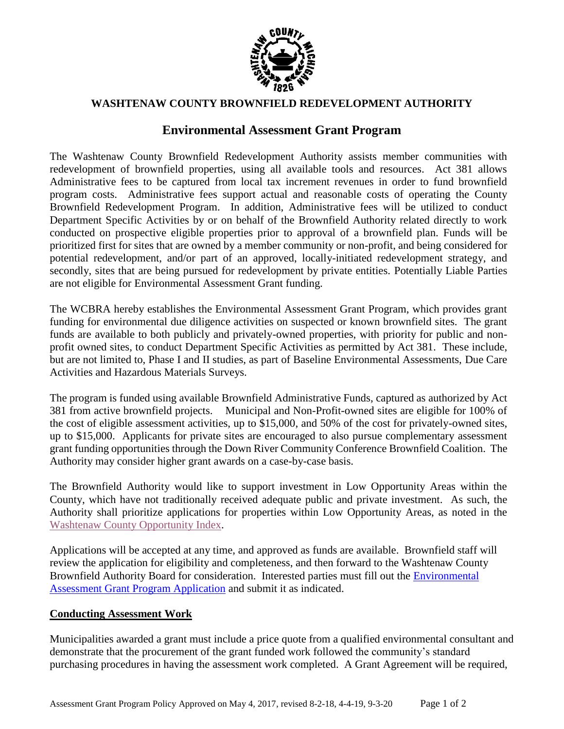

#### **WASHTENAW COUNTY BROWNFIELD REDEVELOPMENT AUTHORITY**

# **Environmental Assessment Grant Program**

The Washtenaw County Brownfield Redevelopment Authority assists member communities with redevelopment of brownfield properties, using all available tools and resources. Act 381 allows Administrative fees to be captured from local tax increment revenues in order to fund brownfield program costs. Administrative fees support actual and reasonable costs of operating the County Brownfield Redevelopment Program. In addition, Administrative fees will be utilized to conduct Department Specific Activities by or on behalf of the Brownfield Authority related directly to work conducted on prospective eligible properties prior to approval of a brownfield plan. Funds will be prioritized first for sites that are owned by a member community or non-profit, and being considered for potential redevelopment, and/or part of an approved, locally-initiated redevelopment strategy, and secondly, sites that are being pursued for redevelopment by private entities. Potentially Liable Parties are not eligible for Environmental Assessment Grant funding.

The WCBRA hereby establishes the Environmental Assessment Grant Program, which provides grant funding for environmental due diligence activities on suspected or known brownfield sites. The grant funds are available to both publicly and privately-owned properties, with priority for public and nonprofit owned sites, to conduct Department Specific Activities as permitted by Act 381. These include, but are not limited to, Phase I and II studies, as part of Baseline Environmental Assessments, Due Care Activities and Hazardous Materials Surveys.

The program is funded using available Brownfield Administrative Funds, captured as authorized by Act 381 from active brownfield projects. Municipal and Non-Profit-owned sites are eligible for 100% of the cost of eligible assessment activities, up to \$15,000, and 50% of the cost for privately-owned sites, up to \$15,000. Applicants for private sites are encouraged to also pursue complementary assessment grant funding opportunities through the Down River Community Conference Brownfield Coalition. The Authority may consider higher grant awards on a case-by-case basis.

The Brownfield Authority would like to support investment in Low Opportunity Areas within the County, which have not traditionally received adequate public and private investment. As such, the Authority shall prioritize applications for properties within Low Opportunity Areas, as noted in the [Washtenaw County Opportunity Index.](http://www.opportunitywashtenaw.org/opportunity-index.html)

Applications will be accepted at any time, and approved as funds are available. Brownfield staff will review the application for eligibility and completeness, and then forward to the Washtenaw County Brownfield Authority Board for consideration. Interested parties must fill out the [Environmental](https://www.washtenaw.org/DocumentCenter/View/12390/Revised-Wash-Co-Assess-Grant-Application-4-4-19)  [Assessment Grant Program Application](https://www.washtenaw.org/DocumentCenter/View/12390/Revised-Wash-Co-Assess-Grant-Application-4-4-19) and submit it as indicated.

#### **Conducting Assessment Work**

Municipalities awarded a grant must include a price quote from a qualified environmental consultant and demonstrate that the procurement of the grant funded work followed the community's standard purchasing procedures in having the assessment work completed. A Grant Agreement will be required,